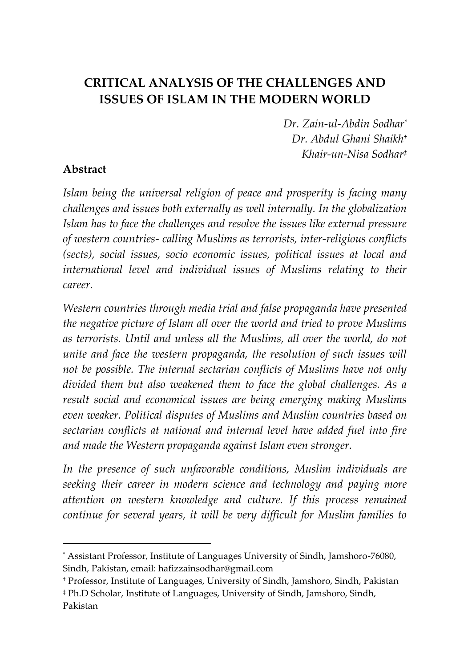# **CRITICAL ANALYSIS OF THE CHALLENGES AND ISSUES OF ISLAM IN THE MODERN WORLD**

*Dr. Zain-ul-Abdin Sodhar\* Dr. Abdul Ghani Shaikh† Khair-un-Nisa Sodhar‡*

## **Abstract**

 $\overline{a}$ 

*Islam being the universal religion of peace and prosperity is facing many challenges and issues both externally as well internally. In the globalization Islam has to face the challenges and resolve the issues like external pressure of western countries- calling Muslims as terrorists, inter-religious conflicts (sects), social issues, socio economic issues, political issues at local and international level and individual issues of Muslims relating to their career.* 

*Western countries through media trial and false propaganda have presented the negative picture of Islam all over the world and tried to prove Muslims as terrorists. Until and unless all the Muslims, all over the world, do not unite and face the western propaganda, the resolution of such issues will not be possible. The internal sectarian conflicts of Muslims have not only divided them but also weakened them to face the global challenges. As a result social and economical issues are being emerging making Muslims even weaker. Political disputes of Muslims and Muslim countries based on sectarian conflicts at national and internal level have added fuel into fire and made the Western propaganda against Islam even stronger.* 

*In the presence of such unfavorable conditions, Muslim individuals are seeking their career in modern science and technology and paying more attention on western knowledge and culture. If this process remained continue for several years, it will be very difficult for Muslim families to* 

<sup>\*</sup> Assistant Professor, Institute of Languages University of Sindh, Jamshoro-76080, Sindh, Pakistan, email: hafizzainsodhar@gmail.com

<sup>†</sup> Professor, Institute of Languages, University of Sindh, Jamshoro, Sindh, Pakistan ‡ Ph.D Scholar, Institute of Languages, University of Sindh, Jamshoro, Sindh, Pakistan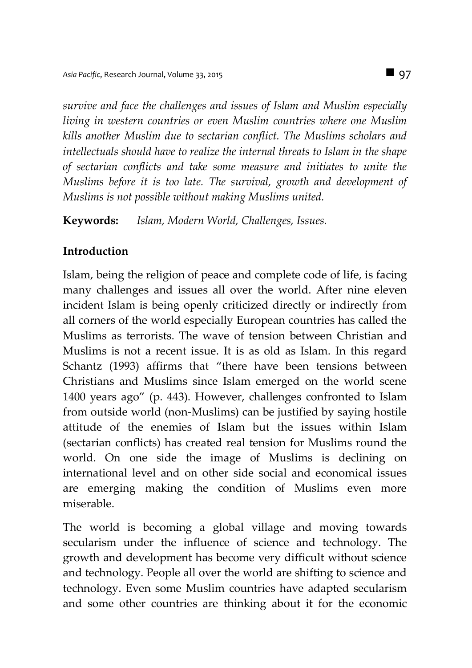*survive and face the challenges and issues of Islam and Muslim especially living in western countries or even Muslim countries where one Muslim kills another Muslim due to sectarian conflict. The Muslims scholars and intellectuals should have to realize the internal threats to Islam in the shape of sectarian conflicts and take some measure and initiates to unite the Muslims before it is too late. The survival, growth and development of Muslims is not possible without making Muslims united.*

**Keywords:** *Islam, Modern World, Challenges, Issues.*

## **Introduction**

Islam, being the religion of peace and complete code of life, is facing many challenges and issues all over the world. After nine eleven incident Islam is being openly criticized directly or indirectly from all corners of the world especially European countries has called the Muslims as terrorists. The wave of tension between Christian and Muslims is not a recent issue. It is as old as Islam. In this regard Schantz (1993) affirms that "there have been tensions between Christians and Muslims since Islam emerged on the world scene 1400 years ago" (p. 443). However, challenges confronted to Islam from outside world (non-Muslims) can be justified by saying hostile attitude of the enemies of Islam but the issues within Islam (sectarian conflicts) has created real tension for Muslims round the world. On one side the image of Muslims is declining on international level and on other side social and economical issues are emerging making the condition of Muslims even more miserable.

The world is becoming a global village and moving towards secularism under the influence of science and technology. The growth and development has become very difficult without science and technology. People all over the world are shifting to science and technology. Even some Muslim countries have adapted secularism and some other countries are thinking about it for the economic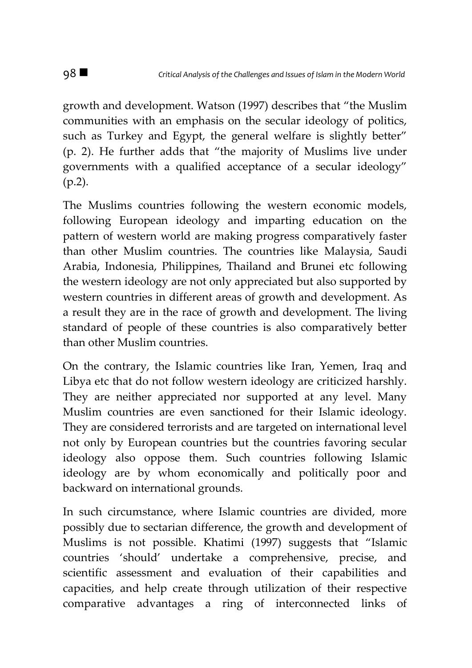growth and development. Watson (1997) describes that "the Muslim communities with an emphasis on the secular ideology of politics, such as Turkey and Egypt, the general welfare is slightly better" (p. 2). He further adds that "the majority of Muslims live under governments with a qualified acceptance of a secular ideology" (p.2).

The Muslims countries following the western economic models, following European ideology and imparting education on the pattern of western world are making progress comparatively faster than other Muslim countries. The countries like Malaysia, Saudi Arabia, Indonesia, Philippines, Thailand and Brunei etc following the western ideology are not only appreciated but also supported by western countries in different areas of growth and development. As a result they are in the race of growth and development. The living standard of people of these countries is also comparatively better than other Muslim countries.

On the contrary, the Islamic countries like Iran, Yemen, Iraq and Libya etc that do not follow western ideology are criticized harshly. They are neither appreciated nor supported at any level. Many Muslim countries are even sanctioned for their Islamic ideology. They are considered terrorists and are targeted on international level not only by European countries but the countries favoring secular ideology also oppose them. Such countries following Islamic ideology are by whom economically and politically poor and backward on international grounds.

In such circumstance, where Islamic countries are divided, more possibly due to sectarian difference, the growth and development of Muslims is not possible. Khatimi (1997) suggests that "Islamic countries 'should' undertake a comprehensive, precise, and scientific assessment and evaluation of their capabilities and capacities, and help create through utilization of their respective comparative advantages a ring of interconnected links of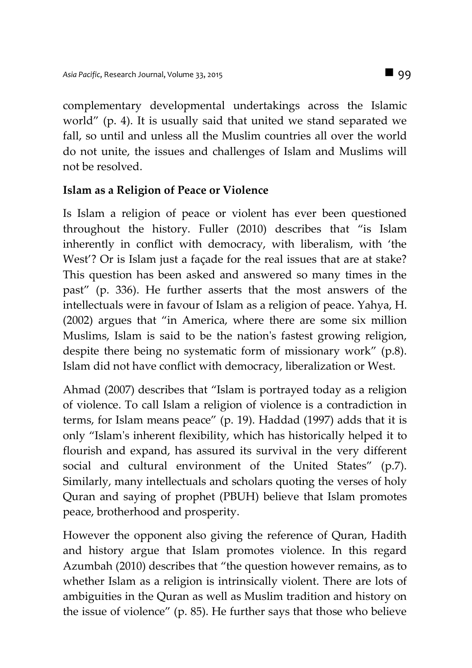complementary developmental undertakings across the Islamic world" (p. 4). It is usually said that united we stand separated we fall, so until and unless all the Muslim countries all over the world do not unite, the issues and challenges of Islam and Muslims will not be resolved.

#### **Islam as a Religion of Peace or Violence**

Is Islam a religion of peace or violent has ever been questioned throughout the history. Fuller (2010) describes that "is Islam inherently in conflict with democracy, with liberalism, with 'the West'? Or is Islam just a façade for the real issues that are at stake? This question has been asked and answered so many times in the past" (p. 336). He further asserts that the most answers of the intellectuals were in favour of Islam as a religion of peace. Yahya, H. (2002) argues that "in America, where there are some six million Muslims, Islam is said to be the nation's fastest growing religion, despite there being no systematic form of missionary work" (p.8). Islam did not have conflict with democracy, liberalization or West.

Ahmad (2007) describes that "Islam is portrayed today as a religion of violence. To call Islam a religion of violence is a contradiction in terms, for Islam means peace" (p. 19). Haddad (1997) adds that it is only "Islam's inherent flexibility, which has historically helped it to flourish and expand, has assured its survival in the very different social and cultural environment of the United States" (p.7). Similarly, many intellectuals and scholars quoting the verses of holy Quran and saying of prophet (PBUH) believe that Islam promotes peace, brotherhood and prosperity.

However the opponent also giving the reference of Quran, Hadith and history argue that Islam promotes violence. In this regard Azumbah (2010) describes that "the question however remains, as to whether Islam as a religion is intrinsically violent. There are lots of ambiguities in the Quran as well as Muslim tradition and history on the issue of violence" (p. 85). He further says that those who believe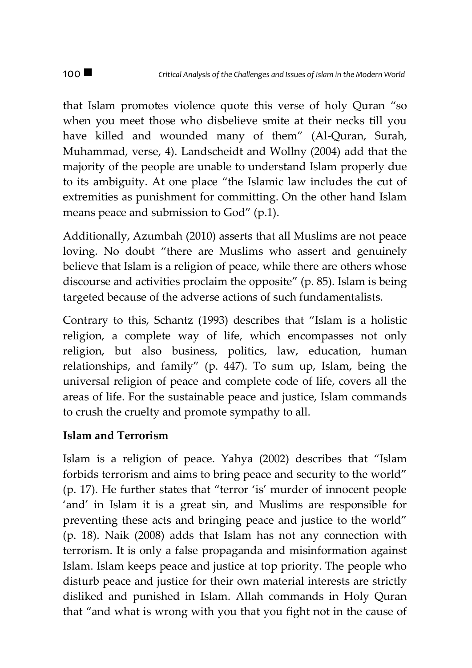that Islam promotes violence quote this verse of holy Quran "so when you meet those who disbelieve smite at their necks till you have killed and wounded many of them" (Al-Quran, Surah, Muhammad, verse, 4). Landscheidt and Wollny (2004) add that the majority of the people are unable to understand Islam properly due to its ambiguity. At one place "the Islamic law includes the cut of extremities as punishment for committing. On the other hand Islam means peace and submission to God" (p.1).

Additionally, Azumbah (2010) asserts that all Muslims are not peace loving. No doubt "there are Muslims who assert and genuinely believe that Islam is a religion of peace, while there are others whose discourse and activities proclaim the opposite" (p. 85). Islam is being targeted because of the adverse actions of such fundamentalists.

Contrary to this, Schantz (1993) describes that "Islam is a holistic religion, a complete way of life, which encompasses not only religion, but also business, politics, law, education, human relationships, and family" (p. 447). To sum up, Islam, being the universal religion of peace and complete code of life, covers all the areas of life. For the sustainable peace and justice, Islam commands to crush the cruelty and promote sympathy to all.

## **Islam and Terrorism**

Islam is a religion of peace. Yahya (2002) describes that "Islam forbids terrorism and aims to bring peace and security to the world" (p. 17). He further states that "terror 'is' murder of innocent people 'and' in Islam it is a great sin, and Muslims are responsible for preventing these acts and bringing peace and justice to the world" (p. 18). Naik (2008) adds that Islam has not any connection with terrorism. It is only a false propaganda and misinformation against Islam. Islam keeps peace and justice at top priority. The people who disturb peace and justice for their own material interests are strictly disliked and punished in Islam. Allah commands in Holy Quran that "and what is wrong with you that you fight not in the cause of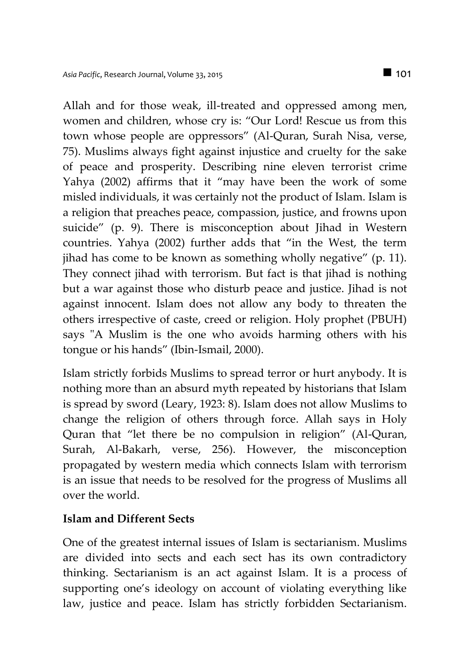Allah and for those weak, ill-treated and oppressed among men, women and children, whose cry is: "Our Lord! Rescue us from this town whose people are oppressors" (Al-Quran, Surah Nisa, verse, 75). Muslims always fight against injustice and cruelty for the sake of peace and prosperity. Describing nine eleven terrorist crime Yahya (2002) affirms that it "may have been the work of some misled individuals, it was certainly not the product of Islam. Islam is a religion that preaches peace, compassion, justice, and frowns upon suicide" (p. 9). There is misconception about Jihad in Western countries. Yahya (2002) further adds that "in the West, the term jihad has come to be known as something wholly negative" (p. 11). They connect jihad with terrorism. But fact is that jihad is nothing but a war against those who disturb peace and justice. Jihad is not against innocent. Islam does not allow any body to threaten the others irrespective of caste, creed or religion. Holy prophet (PBUH) says "A Muslim is the one who avoids harming others with his tongue or his hands" (Ibin-Ismail, 2000).

Islam strictly forbids Muslims to spread terror or hurt anybody. It is nothing more than an absurd myth repeated by historians that Islam is spread by sword (Leary, 1923: 8). Islam does not allow Muslims to change the religion of others through force. Allah says in Holy Quran that "let there be no compulsion in religion" (Al-Quran, Surah, Al-Bakarh, verse, 256). However, the misconception propagated by western media which connects Islam with terrorism is an issue that needs to be resolved for the progress of Muslims all over the world.

#### **Islam and Different Sects**

One of the greatest internal issues of Islam is sectarianism. Muslims are divided into sects and each sect has its own contradictory thinking. Sectarianism is an act against Islam. It is a process of supporting one's ideology on account of violating everything like law, justice and peace. Islam has strictly forbidden Sectarianism.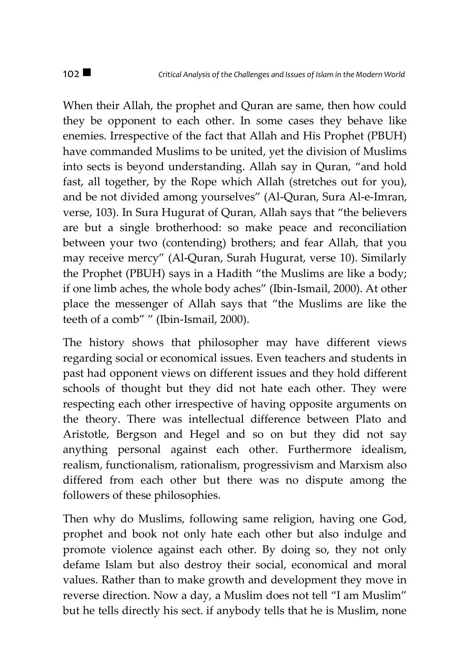When their Allah, the prophet and Quran are same, then how could they be opponent to each other. In some cases they behave like enemies. Irrespective of the fact that Allah and His Prophet (PBUH) have commanded Muslims to be united, yet the division of Muslims into sects is beyond understanding. Allah say in Quran, "and hold fast, all together, by the Rope which Allah (stretches out for you), and be not divided among yourselves" (Al-Quran, Sura Al-e-Imran, verse, 103). In Sura Hugurat of Quran, Allah says that "the believers are but a single brotherhood: so make peace and reconciliation between your two (contending) brothers; and fear Allah, that you may receive mercy" (Al-Quran, Surah Hugurat, verse 10). Similarly the Prophet (PBUH) says in a Hadith "the Muslims are like a body; if one limb aches, the whole body aches" (Ibin-Ismail, 2000). At other place the messenger of Allah says that "the Muslims are like the teeth of a comb" " (Ibin-Ismail, 2000).

The history shows that philosopher may have different views regarding social or economical issues. Even teachers and students in past had opponent views on different issues and they hold different schools of thought but they did not hate each other. They were respecting each other irrespective of having opposite arguments on the theory. There was intellectual difference between Plato and Aristotle, Bergson and Hegel and so on but they did not say anything personal against each other. Furthermore idealism, realism, functionalism, rationalism, progressivism and Marxism also differed from each other but there was no dispute among the followers of these philosophies.

Then why do Muslims, following same religion, having one God, prophet and book not only hate each other but also indulge and promote violence against each other. By doing so, they not only defame Islam but also destroy their social, economical and moral values. Rather than to make growth and development they move in reverse direction. Now a day, a Muslim does not tell "I am Muslim" but he tells directly his sect. if anybody tells that he is Muslim, none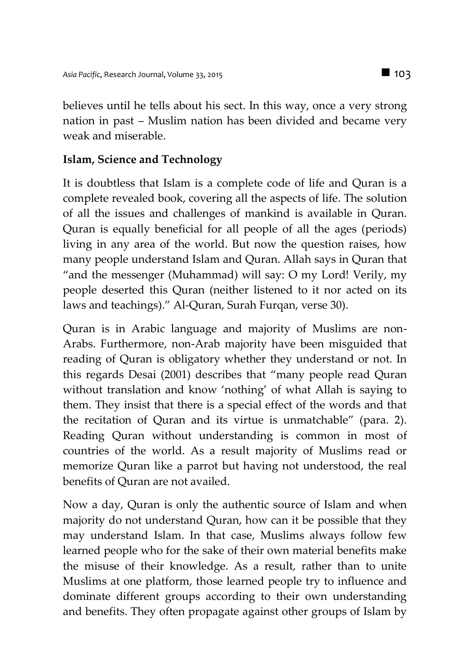believes until he tells about his sect. In this way, once a very strong nation in past – Muslim nation has been divided and became very weak and miserable.

## **Islam, Science and Technology**

It is doubtless that Islam is a complete code of life and Quran is a complete revealed book, covering all the aspects of life. The solution of all the issues and challenges of mankind is available in Quran. Quran is equally beneficial for all people of all the ages (periods) living in any area of the world. But now the question raises, how many people understand Islam and Quran. Allah says in Quran that "and the messenger (Muhammad) will say: O my Lord! Verily, my people deserted this Quran (neither listened to it nor acted on its laws and teachings)." Al-Quran, Surah Furqan, verse 30).

Quran is in Arabic language and majority of Muslims are non-Arabs. Furthermore, non-Arab majority have been misguided that reading of Quran is obligatory whether they understand or not. In this regards Desai (2001) describes that "many people read Quran without translation and know 'nothing' of what Allah is saying to them. They insist that there is a special effect of the words and that the recitation of Quran and its virtue is unmatchable" (para. 2). Reading Quran without understanding is common in most of countries of the world. As a result majority of Muslims read or memorize Quran like a parrot but having not understood, the real benefits of Quran are not availed.

Now a day, Quran is only the authentic source of Islam and when majority do not understand Quran, how can it be possible that they may understand Islam. In that case, Muslims always follow few learned people who for the sake of their own material benefits make the misuse of their knowledge. As a result, rather than to unite Muslims at one platform, those learned people try to influence and dominate different groups according to their own understanding and benefits. They often propagate against other groups of Islam by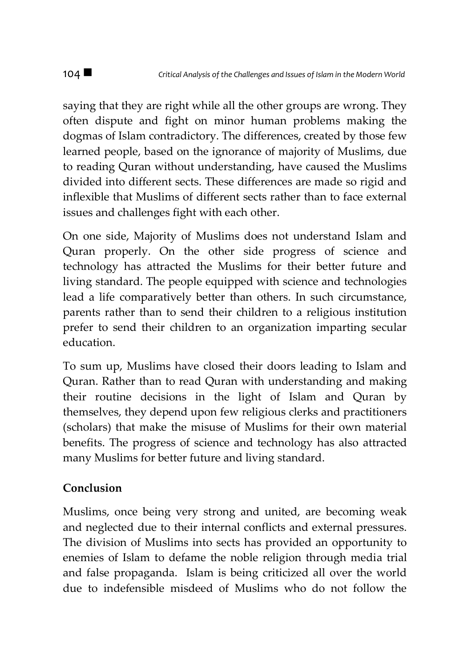saying that they are right while all the other groups are wrong. They often dispute and fight on minor human problems making the dogmas of Islam contradictory. The differences, created by those few learned people, based on the ignorance of majority of Muslims, due to reading Quran without understanding, have caused the Muslims divided into different sects. These differences are made so rigid and inflexible that Muslims of different sects rather than to face external issues and challenges fight with each other.

On one side, Majority of Muslims does not understand Islam and Quran properly. On the other side progress of science and technology has attracted the Muslims for their better future and living standard. The people equipped with science and technologies lead a life comparatively better than others. In such circumstance, parents rather than to send their children to a religious institution prefer to send their children to an organization imparting secular education.

To sum up, Muslims have closed their doors leading to Islam and Quran. Rather than to read Quran with understanding and making their routine decisions in the light of Islam and Quran by themselves, they depend upon few religious clerks and practitioners (scholars) that make the misuse of Muslims for their own material benefits. The progress of science and technology has also attracted many Muslims for better future and living standard.

## **Conclusion**

Muslims, once being very strong and united, are becoming weak and neglected due to their internal conflicts and external pressures. The division of Muslims into sects has provided an opportunity to enemies of Islam to defame the noble religion through media trial and false propaganda. Islam is being criticized all over the world due to indefensible misdeed of Muslims who do not follow the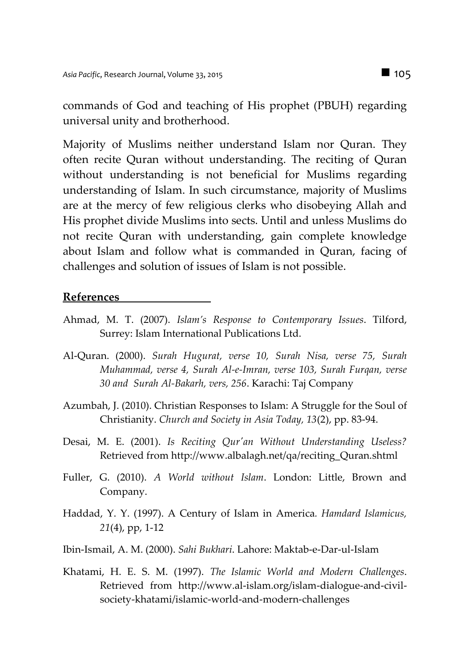commands of God and teaching of His prophet (PBUH) regarding universal unity and brotherhood.

Majority of Muslims neither understand Islam nor Quran. They often recite Quran without understanding. The reciting of Quran without understanding is not beneficial for Muslims regarding understanding of Islam. In such circumstance, majority of Muslims are at the mercy of few religious clerks who disobeying Allah and His prophet divide Muslims into sects. Until and unless Muslims do not recite Quran with understanding, gain complete knowledge about Islam and follow what is commanded in Quran, facing of challenges and solution of issues of Islam is not possible.

#### **References**

- Ahmad, M. T. (2007). *Islam's Response to Contemporary Issues*. Tilford, Surrey: Islam International Publications Ltd.
- Al-Quran. (2000). *Surah Hugurat, verse 10, Surah Nisa, verse 75, Surah Muhammad, verse 4, Surah Al-e-Imran, verse 103, Surah Furqan, verse 30 and Surah Al-Bakarh, vers, 256*. Karachi: Taj Company
- Azumbah, J. (2010). Christian Responses to Islam: A Struggle for the Soul of Christianity. *Church and Society in Asia Today, 13*(2), pp. 83-94.
- Desai, M. E. (2001). *Is Reciting Qur'an Without Understanding Useless?* Retrieved from http://www.albalagh.net/qa/reciting\_Quran.shtml
- Fuller, G. (2010). *A World without Islam*. London: Little, Brown and Company.
- Haddad, Y. Y. (1997). A Century of Islam in America*. Hamdard Islamicus, 21*(4), pp, 1-12
- Ibin-Ismail, A. M. (2000). *Sahi Bukhari*. Lahore: Maktab-e-Dar-ul-Islam
- Khatami, H. E. S. M. (1997). *The Islamic World and Modern Challenges*. Retrieved from [http://www.al-islam.org/islam-dialogue-and-civil](http://www.al-islam.org/islam-dialogue-and-civil-society-khatami/islamic-world-and-modern-challenges)[society-khatami/islamic-world-and-modern-challenges](http://www.al-islam.org/islam-dialogue-and-civil-society-khatami/islamic-world-and-modern-challenges)